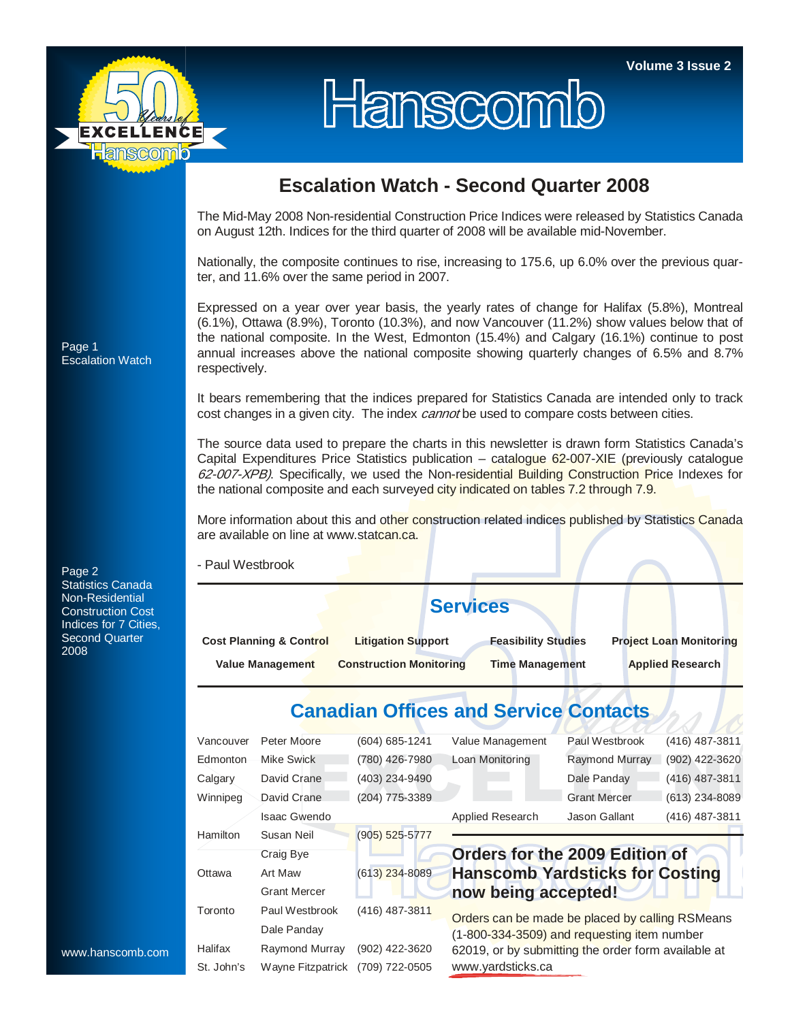

## Hanscomb

## **Escalation Watch - Second Quarter 2008**

The Mid-May 2008 Non-residential Construction Price Indices were released by Statistics Canada on August 12th. Indices for the third quarter of 2008 will be available mid-November.

Nationally, the composite continues to rise, increasing to 175.6, up 6.0% over the previous quarter, and 11.6% over the same period in 2007.

Expressed on a year over year basis, the yearly rates of change for Halifax (5.8%), Montreal (6.1%), Ottawa (8.9%), Toronto (10.3%), and now Vancouver (11.2%) show values below that of the national composite. In the West, Edmonton (15.4%) and Calgary (16.1%) continue to post annual increases above the national composite showing quarterly changes of 6.5% and 8.7% respectively.

It bears remembering that the indices prepared for Statistics Canada are intended only to track cost changes in a given city. The index *cannot* be used to compare costs between cities.

The source data used to prepare the charts in this newsletter is drawn form Statistics Canada's Capital Expenditures Price Statistics publication – catalogue 62-007-XIE (previously catalogue 62-007-XPB). Specifically, we used the Non-residential Building Construction Price Indexes for the national composite and each surveyed city indicated on tables 7.2 through 7.9.

More information about this and other construction related indices published by Statistics Canada are available on line at www.statcan.ca.

- Paul Westbrook

|                                    | <b>Services</b>                |                            |                                |
|------------------------------------|--------------------------------|----------------------------|--------------------------------|
| <b>Cost Planning &amp; Control</b> | <b>Litigation Support</b>      | <b>Feasibility Studies</b> | <b>Project Loan Monitoring</b> |
| <b>Value Management</b>            | <b>Construction Monitoring</b> | <b>Time Management</b>     | <b>Applied Research</b>        |

## **Canadian Offices and Service Contacts**

| Vancouver  | Peter Moore         | (604) 685-1241     | Value Management                                    | Paul Westbrook      | (416) 487-3811   |  |  |  |  |
|------------|---------------------|--------------------|-----------------------------------------------------|---------------------|------------------|--|--|--|--|
| Edmonton   | <b>Mike Swick</b>   | (780) 426-7980     | Loan Monitoring                                     | Raymond Murray      | (902) 422-3620   |  |  |  |  |
| Calgary    | David Crane         | (403) 234-9490     |                                                     | Dale Panday         | (416) 487-3811   |  |  |  |  |
| Winnipeg   | David Crane         | (204) 775-3389     |                                                     | <b>Grant Mercer</b> | $(613)$ 234-8089 |  |  |  |  |
|            | Isaac Gwendo        |                    | Applied Research                                    | Jason Gallant       | (416) 487-3811   |  |  |  |  |
| Hamilton   | Susan Neil          | $(905) 525 - 5777$ |                                                     |                     |                  |  |  |  |  |
|            | Craig Bye           |                    | Orders for the 2009 Edition of                      |                     |                  |  |  |  |  |
| Ottawa     | Art Maw             | $(613)$ 234-8089   | <b>Hanscomb Yardsticks for Costing</b>              |                     |                  |  |  |  |  |
|            | <b>Grant Mercer</b> |                    | now being accepted!                                 |                     |                  |  |  |  |  |
| Toronto    | Paul Westbrook      | (416) 487-3811     | Orders can be made be placed by calling RSMeans     |                     |                  |  |  |  |  |
|            | Dale Panday         |                    | (1-800-334-3509) and requesting item number         |                     |                  |  |  |  |  |
| Halifax    | Raymond Murray      | (902) 422-3620     | 62019, or by submitting the order form available at |                     |                  |  |  |  |  |
| St. John's | Wavne Fitzpatrick   | (709) 722-0505     | www.yardsticks.ca                                   |                     |                  |  |  |  |  |

Page 1 Escalation Watch

Page 2 Statistics Canada Non-Residential Construction Cost Indices for 7 Cities, Second Quarter 2008

www.hanscomb.com